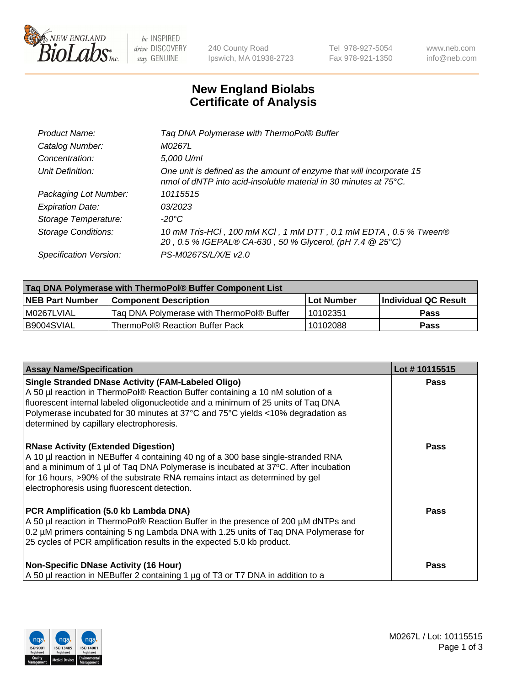

 $be$  INSPIRED drive DISCOVERY stay GENUINE

240 County Road Ipswich, MA 01938-2723 Tel 978-927-5054 Fax 978-921-1350 www.neb.com info@neb.com

## **New England Biolabs Certificate of Analysis**

| Product Name:              | Tag DNA Polymerase with ThermoPol® Buffer                                                                                                |
|----------------------------|------------------------------------------------------------------------------------------------------------------------------------------|
| Catalog Number:            | M0267L                                                                                                                                   |
| Concentration:             | 5,000 U/ml                                                                                                                               |
| Unit Definition:           | One unit is defined as the amount of enzyme that will incorporate 15<br>nmol of dNTP into acid-insoluble material in 30 minutes at 75°C. |
| Packaging Lot Number:      | 10115515                                                                                                                                 |
| <b>Expiration Date:</b>    | 03/2023                                                                                                                                  |
| Storage Temperature:       | $-20^{\circ}$ C                                                                                                                          |
| <b>Storage Conditions:</b> | 10 mM Tris-HCl, 100 mM KCl, 1 mM DTT, 0.1 mM EDTA, 0.5 % Tween®<br>20, 0.5 % IGEPAL® CA-630, 50 % Glycerol, (pH 7.4 @ 25°C)              |
| Specification Version:     | PS-M0267S/L/X/E v2.0                                                                                                                     |
|                            |                                                                                                                                          |

| Tag DNA Polymerase with ThermoPol® Buffer Component List |                                           |             |                      |  |
|----------------------------------------------------------|-------------------------------------------|-------------|----------------------|--|
| <b>NEB Part Number</b>                                   | <b>Component Description</b>              | ∣Lot Number | Individual QC Result |  |
| M0267LVIAL                                               | Tag DNA Polymerase with ThermoPol® Buffer | 10102351    | <b>Pass</b>          |  |
| I B9004SVIAL                                             | ThermoPol® Reaction Buffer Pack           | 10102088    | Pass                 |  |

| <b>Assay Name/Specification</b>                                                                                                                                                                                                                                                                                                                                  | Lot #10115515 |
|------------------------------------------------------------------------------------------------------------------------------------------------------------------------------------------------------------------------------------------------------------------------------------------------------------------------------------------------------------------|---------------|
| <b>Single Stranded DNase Activity (FAM-Labeled Oligo)</b><br>A 50 µl reaction in ThermoPol® Reaction Buffer containing a 10 nM solution of a<br>fluorescent internal labeled oligonucleotide and a minimum of 25 units of Taq DNA<br>Polymerase incubated for 30 minutes at 37°C and 75°C yields <10% degradation as<br>determined by capillary electrophoresis. | <b>Pass</b>   |
| <b>RNase Activity (Extended Digestion)</b><br>A 10 µl reaction in NEBuffer 4 containing 40 ng of a 300 base single-stranded RNA<br>and a minimum of 1 µl of Taq DNA Polymerase is incubated at 37°C. After incubation<br>for 16 hours, >90% of the substrate RNA remains intact as determined by gel<br>electrophoresis using fluorescent detection.             | <b>Pass</b>   |
| PCR Amplification (5.0 kb Lambda DNA)<br>A 50 µl reaction in ThermoPol® Reaction Buffer in the presence of 200 µM dNTPs and<br>0.2 µM primers containing 5 ng Lambda DNA with 1.25 units of Taq DNA Polymerase for<br>25 cycles of PCR amplification results in the expected 5.0 kb product.                                                                     | Pass          |
| <b>Non-Specific DNase Activity (16 Hour)</b><br>A 50 µl reaction in NEBuffer 2 containing 1 µg of T3 or T7 DNA in addition to a                                                                                                                                                                                                                                  | <b>Pass</b>   |

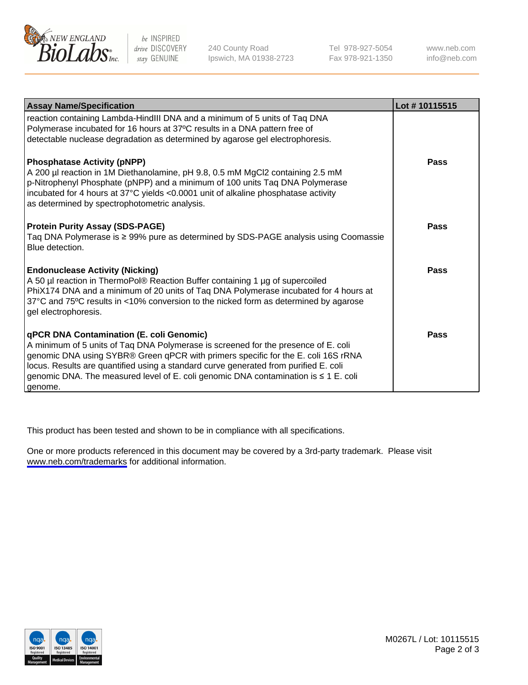

be INSPIRED drive DISCOVERY stay GENUINE

240 County Road Ipswich, MA 01938-2723 Tel 978-927-5054 Fax 978-921-1350

www.neb.com info@neb.com

| <b>Assay Name/Specification</b>                                                                                                                                                                                                                                                                                                                                                                               | Lot #10115515 |
|---------------------------------------------------------------------------------------------------------------------------------------------------------------------------------------------------------------------------------------------------------------------------------------------------------------------------------------------------------------------------------------------------------------|---------------|
| reaction containing Lambda-HindIII DNA and a minimum of 5 units of Taq DNA<br>Polymerase incubated for 16 hours at 37°C results in a DNA pattern free of<br>detectable nuclease degradation as determined by agarose gel electrophoresis.                                                                                                                                                                     |               |
| <b>Phosphatase Activity (pNPP)</b><br>A 200 µl reaction in 1M Diethanolamine, pH 9.8, 0.5 mM MgCl2 containing 2.5 mM<br>p-Nitrophenyl Phosphate (pNPP) and a minimum of 100 units Taq DNA Polymerase<br>incubated for 4 hours at 37°C yields <0.0001 unit of alkaline phosphatase activity<br>as determined by spectrophotometric analysis.                                                                   | Pass          |
| <b>Protein Purity Assay (SDS-PAGE)</b><br>Taq DNA Polymerase is ≥ 99% pure as determined by SDS-PAGE analysis using Coomassie<br>Blue detection.                                                                                                                                                                                                                                                              | Pass          |
| <b>Endonuclease Activity (Nicking)</b><br>A 50 µl reaction in ThermoPol® Reaction Buffer containing 1 µg of supercoiled<br>PhiX174 DNA and a minimum of 20 units of Taq DNA Polymerase incubated for 4 hours at<br>37°C and 75°C results in <10% conversion to the nicked form as determined by agarose<br>gel electrophoresis.                                                                               | Pass          |
| qPCR DNA Contamination (E. coli Genomic)<br>A minimum of 5 units of Taq DNA Polymerase is screened for the presence of E. coli<br>genomic DNA using SYBR® Green qPCR with primers specific for the E. coli 16S rRNA<br>locus. Results are quantified using a standard curve generated from purified E. coli<br>genomic DNA. The measured level of E. coli genomic DNA contamination is ≤ 1 E. coli<br>genome. | Pass          |

This product has been tested and shown to be in compliance with all specifications.

One or more products referenced in this document may be covered by a 3rd-party trademark. Please visit <www.neb.com/trademarks>for additional information.